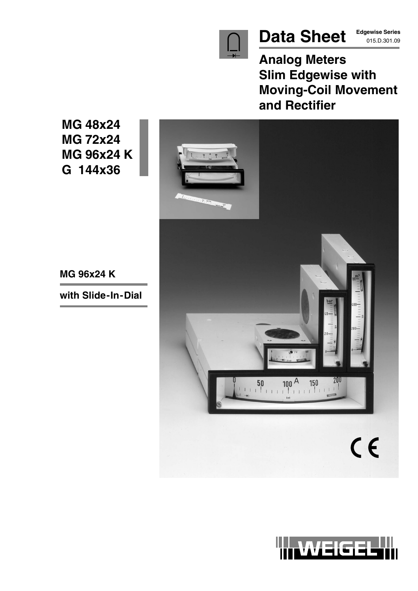

# Data Sheet **Edgewise Series**

**Edgewise Series**

**Analog Meters Slim Edgewise with Moving-Coil Movement and Rectifier**

**MG 48x24 MG 72x24 MG 96x24 K G 144x36**



**MG 96x24 K**

**with Slide-In-Dial**

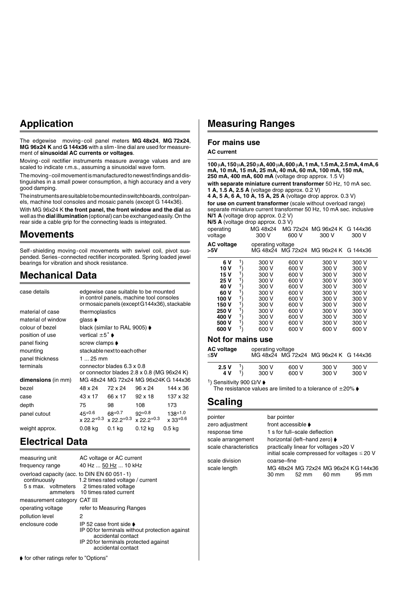# **Application**

The edgewise moving-coil panel meters **MG 48x24**, **MG 72x24**, **MG 96x24 K** and **G 144x36** with a slim-line dial are used for measurement of **sinusoidal AC currents or voltages**.

Moving-coil rectifier instruments measure average values and are scaled to indicate r.m.s., assuming a sinusoidal wave form.

The moving-coil movement is manufactured to newest findings and distinguishes in a small power consumption, a high accuracy and a very good damping.

The instruments are suitable to be mounted in switchboards, control panels, machine tool consoles and mosaic panels (except G 144x36).

With MG 96x24 K **the front panel, the front window and the dial** as well as the **dial illumination** (optional) can be exchanged easily. On the rear side a cable grip for the connecting leads is integrated.

## **Movements**

Self-shielding moving-coil movements with swivel coil, pivot suspended. Series-connected rectifier incorporated. Spring loaded jewel bearings for vibration and shock resistance.

## **Mechanical Data**

| case details       | edgewise case suitable to be mounted<br>in control panels, machine tool consoles<br>or mosaic panels (except G144x36), stackable |                                                   |                                                     |                                      |
|--------------------|----------------------------------------------------------------------------------------------------------------------------------|---------------------------------------------------|-----------------------------------------------------|--------------------------------------|
| material of case   | thermoplastics                                                                                                                   |                                                   |                                                     |                                      |
| material of window | glass <b>♦</b>                                                                                                                   |                                                   |                                                     |                                      |
| colour of bezel    |                                                                                                                                  | black (similar to RAL 9005) $\blacktriangleright$ |                                                     |                                      |
| position of use    | vertical $\pm 5^{\circ}$ $\bullet$                                                                                               |                                                   |                                                     |                                      |
| panel fixing       | screw clamps $\blacktriangleright$                                                                                               |                                                   |                                                     |                                      |
| mounting           | stackable next to each other                                                                                                     |                                                   |                                                     |                                      |
| panel thickness    | 1  25 mm                                                                                                                         |                                                   |                                                     |                                      |
| terminals          |                                                                                                                                  | connector blades 6.3 x 0.8                        | or connector blades $2.8 \times 0.8$ (MG $96x24$ K) |                                      |
| dimensions (in mm) |                                                                                                                                  |                                                   |                                                     | MG 48x24 MG 72x24 MG 96x24K G 144x36 |
| bezel              | 48 x 24                                                                                                                          | 72 x 24                                           | 96 x 24                                             | 144 x 36                             |
| case               | 43 x 17                                                                                                                          | 66 x 17                                           | $92 \times 18$                                      | 137 x 32                             |
| depth              | 75                                                                                                                               | 98                                                | 108                                                 | 173                                  |
| panel cutout       | $45+0.6$<br>$x 22.2^{+0.3}$                                                                                                      | $68+0.7$<br>$x$ 22.2 <sup>+0.3</sup>              | $92+0.8$<br>$x 22.2^{+0.3}$                         | $138 + 1.0$<br>x 33+0.6              |
| weight approx.     | 0.08 ka                                                                                                                          | 0.1 <sub>kq</sub>                                 | 0.12 kg                                             | 0.5 kg                               |

## **Electrical Data**

| measuring unit<br>frequency range                             |   | AC voltage or AC current<br>40 Hz  50 Hz  10 kHz                                                                                                                                   |
|---------------------------------------------------------------|---|------------------------------------------------------------------------------------------------------------------------------------------------------------------------------------|
| overload capacity (acc. to DIN EN 60 051 - 1)<br>continuously |   | 1.2 times rated voltage / current<br>5 s max. voltmeters 2 times rated voltage<br>ammeters 10 times rated current                                                                  |
| measurement category CAT III                                  |   |                                                                                                                                                                                    |
| operating voltage                                             |   | refer to Measuring Ranges                                                                                                                                                          |
| pollution level                                               | 2 |                                                                                                                                                                                    |
| enclosure code                                                |   | IP 52 case front side $\blacktriangleright$<br>IP 00 for terminals without protection against<br>accidental contact<br>IP 20 for terminals protected against<br>accidental contact |
|                                                               |   |                                                                                                                                                                                    |

## **Measuring Ranges**

### **For mains use**

#### **AC current**

| $100 \mu$ A, $150 \mu$ A, $250 \mu$ A, $400 \mu$ A, $600 \mu$ A, 1 mA, 1.5 mA, 2.5 mA, 4 mA, 6<br>mA, 10 mA, 15 mA, 25 mA, 40 mA, 60 mA, 100 mA, 150 mA,<br>250 mA, 400 mA, 600 mA (voltage drop approx. 1.5 V)<br>with separate miniature current transformer 50 Hz, 10 mA sec.<br>1 A, 1.5 A, 2.5 A (voltage drop approx. 0.2 V)<br>4 A, 5 A, 6 A, 10 A, 15 A, 25 A (voltage drop approx. 0.3 V)<br>for use on current transformer (scale without overload range)<br>separate miniature current transformer 50 Hz, 10 mA sec. inclusive<br>$N/1$ A (voltage drop approx. 0.2 V)<br>$N/5$ A (voltage drop approx. 0.3 V) |                                                                                                          |                                                                                                          |                                                                                                          |                                                                                                          |
|---------------------------------------------------------------------------------------------------------------------------------------------------------------------------------------------------------------------------------------------------------------------------------------------------------------------------------------------------------------------------------------------------------------------------------------------------------------------------------------------------------------------------------------------------------------------------------------------------------------------------|----------------------------------------------------------------------------------------------------------|----------------------------------------------------------------------------------------------------------|----------------------------------------------------------------------------------------------------------|----------------------------------------------------------------------------------------------------------|
| operating<br>voltage                                                                                                                                                                                                                                                                                                                                                                                                                                                                                                                                                                                                      | MG 48x24<br>300 V                                                                                        | 600 V                                                                                                    | MG 72x24 MG 96x24 K<br>300 V                                                                             | G 144x36<br>300 V                                                                                        |
| <b>AC voltage</b><br>>5V                                                                                                                                                                                                                                                                                                                                                                                                                                                                                                                                                                                                  | operating voltage                                                                                        |                                                                                                          | MG 48x24 MG 72x24 MG 96x24 K G 144x36                                                                    |                                                                                                          |
| 1)<br>6 V<br>1١<br>10 V<br>1١<br>15 V<br>11<br>25 V<br>1١<br>40 V<br>1١<br>60 V<br>1)<br>100 V<br>1)<br>150 V<br>1)<br>250 V<br>1)<br>400 V<br>1)<br>500 V<br>1١<br>600 V                                                                                                                                                                                                                                                                                                                                                                                                                                                 | 300 V<br>300 V<br>300 V<br>300 V<br>300 V<br>300 V<br>300 V<br>300 V<br>300 V<br>300 V<br>300 V<br>600 V | 600 V<br>600 V<br>600 V<br>600 V<br>600 V<br>600 V<br>600 V<br>600 V<br>600 V<br>600 V<br>600 V<br>600 V | 300 V<br>300 V<br>300 V<br>300 V<br>300 V<br>300 V<br>300 V<br>300 V<br>300 V<br>300 V<br>300 V<br>600 V | 300 V<br>300 V<br>300 V<br>300 V<br>300 V<br>300 V<br>300 V<br>300 V<br>300 V<br>300 V<br>300 V<br>600 V |
| Not for mains use                                                                                                                                                                                                                                                                                                                                                                                                                                                                                                                                                                                                         |                                                                                                          |                                                                                                          |                                                                                                          |                                                                                                          |

**Not for mains use**

| <b>AC voltage</b><br>≤5V | operating voltage |       | MG 48x24 MG 72x24 MG 96x24 K G 144x36 |       |  |
|--------------------------|-------------------|-------|---------------------------------------|-------|--|
| 2.5V                     | 300 V             | 600 V | 300 V                                 | 300 V |  |
| 4 V                      | 300 V             | 600 V | 300 V                                 | 300 V |  |

<sup>1</sup>) Sensitivity 900 Ω/V  $\blacklozenge$ 

The resistance values are limited to a tolerance of  $\pm 20\%$ 

## **Scaling**

| pointer               | bar pointer        |                               |                                                                                            |       |
|-----------------------|--------------------|-------------------------------|--------------------------------------------------------------------------------------------|-------|
| zero adjustment       | front accessible ♦ |                               |                                                                                            |       |
| response time         |                    | 1 s for full-scale deflection |                                                                                            |       |
| scale arrangement     |                    | horizontal (left-hand zero) ♦ |                                                                                            |       |
| scale characteristics |                    |                               | practically linear for voltages >20 V<br>initial scale compressed for voltages $\leq$ 20 V |       |
| scale division        | coarse-fine        |                               |                                                                                            |       |
| scale length          | $30 \text{ mm}$    | 52 mm                         | MG 48x24 MG 72x24 MG 96x24 KG 144x36<br>60 mm                                              | 95 mm |

 $\blacklozenge$  for other ratings refer to "Options"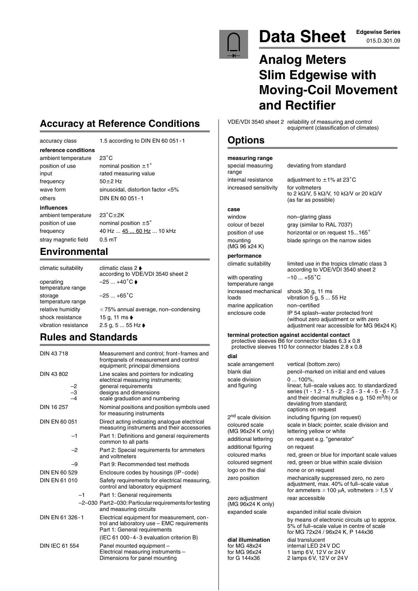

# Data Sheet **Edgewise Series**

# **Analog Meters Slim Edgewise with Moving-Coil Movement and Rectifier**

VDE/VDI 3540 sheet 2 reliability of measuring and control equipment (classification of climates)

## **Options**

### **measuring range**

special measuring deviating from standard range increased sensitivity for voltmeters

internal resistance adjustment to  $\pm$ 1% at 23 $^{\circ}$ C to 2 kΩ/V, 5 kΩ/V, 10 kΩ/V or 20 kΩ/V (as far as possible)

## **case**

window non–glaring glass colour of bezel gray (similar to RAL 7037) position of use horizontal or on request 15...165° (MG 96 x24 K)

#### **performance**

with operating temperature range increased mechanical<br>loads marine application non–certified

mounting blade springs on the narrow sides

climatic suitability limited use in the tropics climatic class 3 according to VDE/VDI 3540 sheet 2  $-10...+55^{\circ}C$ 

shock 30 g, 11 ms<br>vibration 5 g, 5 ... 55 Hz enclosure code IP 54 splash–water protected front (without zero adjustment or with zero adjustment rear accessible for MG 96x24 K)

#### **terminal protection against accidental contact**

protective sleeves B6 for connector blades 6.3 x 0.8 protective sleeves 110 for connector blades 2.8 x 0.8

### **dial**

(MG 96x24 K only)

scale arrangement vertical (bottom zero) blank dial pencil–marked on initial and end values scale division 0 ... 100%<br>and figuring linear, fulllinear, full–scale values acc. to standardized series (1 - 1.2 - 1.5 - 2 - 2.5 - 3 - 4 - 5 - 6 - 7.5 and their decimal multiples e.g. 150 m3/h) or deviating from standard; captions on request 2<sup>nd</sup> scale division including figuring (on request) coloured scale scale in black; pointer, scale division and (MG 96x24 K only) lettering yellow or white lettering yellow or white additional lettering on request e.g. "generator" additional figuring on request coloured marks red, green or blue for important scale values coloured segment red, green or blue within scale division logo on the dial none or on request zero position mechanically suppressed zero, no zero

adjustment, max. 40% of full–scale value for ammeters  $\geq 100$  µA, voltmeters  $\geq 1.5$  V zero adjustment rear accessible

expanded scale expanded initial scale division

by means of electronic circuits up to approx. 5% of full–scale value in centre of scale for MG 72x24 / 96x24 K, P 144x36

**dial illumination** dial translucent<br>for MG 48x24 internal LED 24 for MG 48x24 internal LED 24V DC for MG 96x24 1 lamp 6V, 12V or 24V for G 144x36 2 lamps 6V, 12V or 24V

# **Accuracy at Reference Conditions**

accuracy class 1.5 according to DIN EN 60 051-1

**reference conditions** ambient temperature frequency  $50\pm2$  Hz

 $23^{\circ}$ C position of use nominal position  $\pm 1^{\circ}$ input rated measuring value wave form sinusoidal, distortion factor <5% others DIN EN 60 051-1

#### **influences**

ambient temperature position of use nominal position  $\pm 5^{\circ}$ stray magnetic field 0.5 mT

 $23^{\circ}$ C $\pm$ 2K frequency 40 Hz ... 45 ... 60 Hz ... 10 kHz

# **Environmental**

climatic suitability climatic class 2  $\bullet$ according to VDE/VDI 3540 sheet 2 operating  $-25 ... +40^{\circ} \text{C}$ temperature range storage  $-25...+65$ °C temperature range relative humidity  $\leq 75\%$  annual average, non–condensing shock resistance 15 g, 11 ms  $\bullet$ vibration resistance  $2.5 g, 5 ... 55 Hz$ 

# **Rules and Standards**

| DIN 43718             | Measurement and control; front-frames and<br>frontpanels of measurement and control<br>equipment; principal dimensions   |
|-----------------------|--------------------------------------------------------------------------------------------------------------------------|
| DIN 43 802            | Line scales and pointers for indicating<br>electrical measuring instruments;                                             |
| $\frac{-2}{-3}$       | general requirements<br>designs and dimensions<br>scale graduation and numbering                                         |
| DIN 16 257            | Nominal positions and position symbols used<br>for measuring instruments                                                 |
| DIN EN 60 051         | Direct acting indicating analogue electrical<br>measuring instruments and their accessories                              |
| -1                    | Part 1: Definitions and general requirements<br>common to all parts                                                      |
| $-2$                  | Part 2: Special requirements for ammeters<br>and voltmeters                                                              |
| -9                    | Part 9: Recommended test methods                                                                                         |
| DIN EN 60 529         | Enclosure codes by housings (IP-code)                                                                                    |
| DIN EN 61 010         | Safety requirements for electrical measuring,<br>control and laboratory equipment                                        |
| $-1$                  | Part 1: General requirements                                                                                             |
|                       | -2-030 Part2-030: Particular requirements for testing<br>and measuring circuits                                          |
| DIN EN 61 326-1       | Electrical equipment for measurement, con-<br>trol and laboratory use - EMC requirements<br>Part 1: General requirements |
|                       | (IEC 61 000-4-3 evaluation criterion B)                                                                                  |
| <b>DIN IEC 61 554</b> | Panel mounted equipment -<br>Electrical measuring instruments -<br>Dimensions for panel mounting                         |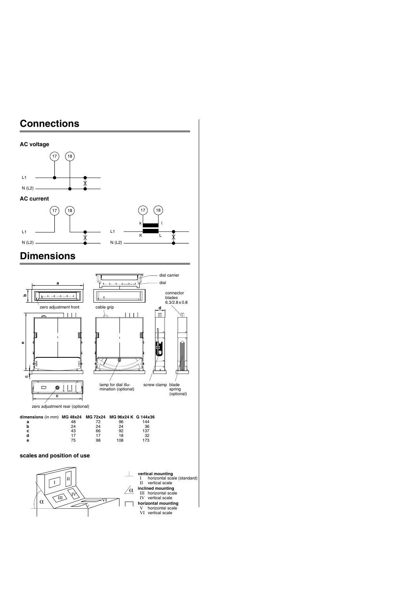